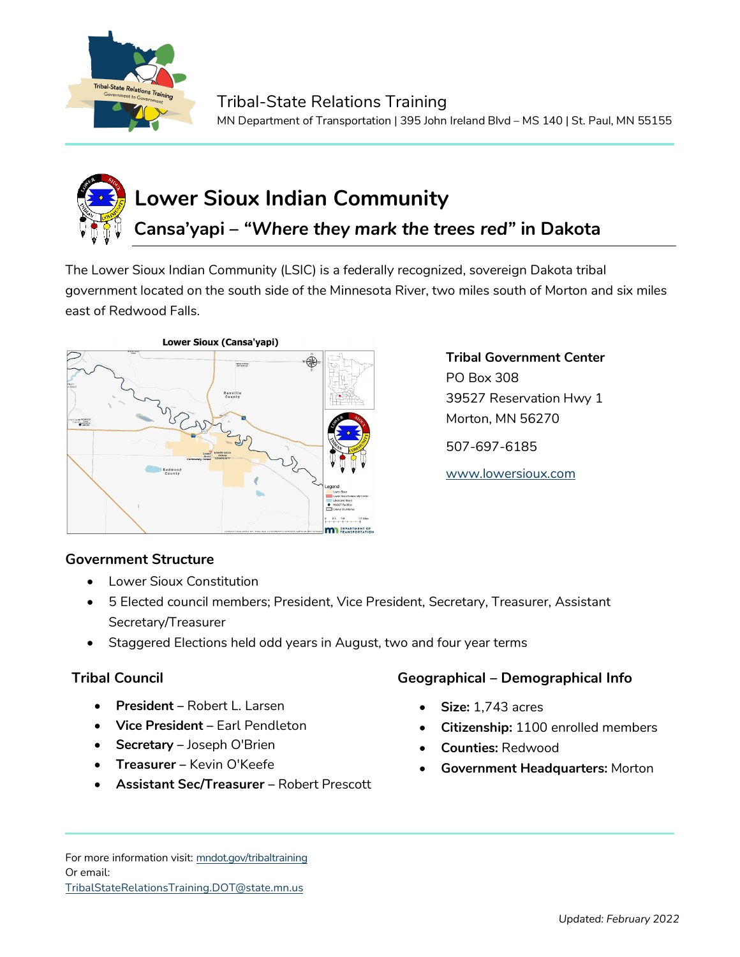

## **Lower Sioux Indian Community Cansa'yapi –** *"Where they mark the trees red"* **in Dakota**

The Lower Sioux Indian Community (LSIC) is a federally recognized, sovereign Dakota tribal government located on the south side of the Minnesota River, two miles south of Morton and six miles east of Redwood Falls.



**Tribal Government Center** PO Box 308 39527 Reservation Hwy 1 Morton, MN 56270

507-697-6185

[www.lowersioux.com](http://www.lowersioux.com/)

## **Government Structure**

- Lower Sioux Constitution
- 5 Elected council members; President, Vice President, Secretary, Treasurer, Assistant Secretary/Treasurer
- Staggered Elections held odd years in August, two and four year terms

- **President –** Robert L. Larsen
- **Vice President –** Earl Pendleton
- **Secretary –** Joseph O'Brien
- **Treasurer –** Kevin O'Keefe
- **Assistant Sec/Treasurer –** Robert Prescott

## **Tribal Council Geographical – Demographical Info**

- **Size:** 1,743 acres
- **Citizenship:** 1100 enrolled members
- **Counties:** Redwood
- **Government Headquarters:** Morton

For more information visit: mndot.gov/tribaltraining Or email: TribalStateRelationsTraining.DOT@state.mn.us